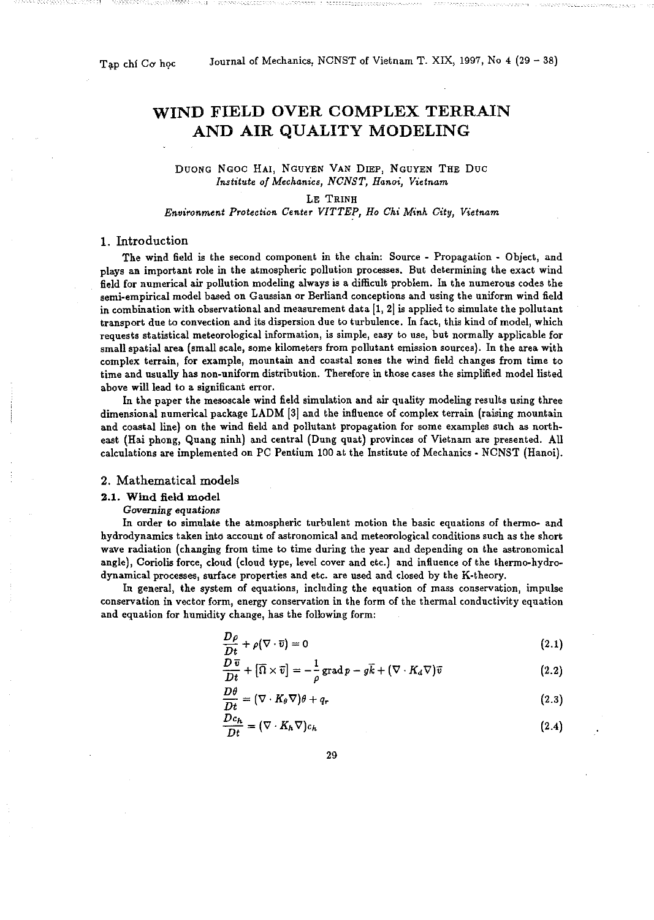Tap chí Cơ học

# WIND FIELD OVER COMPLEX TERRAIN AND AIR QUALITY MODELING

## DUONG NGOC HAl, NGUYEN VAN DIEP, NGUYEN THE Due *Institute of Mechanics, NCNST, Hanoi, Vietnam*

# LE TRINH

## *Environment Protection Center VITTEP, Ho Chi Minh City, Vietnam*

#### 1. Introduction

The wind field is the second component in the chain: Source - Propagation - Object, and **plays an important role in the atmospheric pollution processes. But determining the exact wind**  field for numerical air pollution modeling always is a difficult problem. In the numerous codes the **semi-empirical model based on Gaussian or Berliand conceptions and using the uniform wind field in combination with observational and measurement data [1, 2} is applied to simulate the pollutant**  transport due to convection and its dispersion due to turbulence. In fact, this kind of model, which **requests statistical meteorological information, is simple, easy to use, but normally applicable for small spatial area (small scale, some kilometers from pollutant emission sources). In the area with complex terrain, for example, mountain and coastal zones the wind field changes from time to**  time and usually has non-uniform distribution. Therefore in those cases the simplified model listed **above will lead to a significant error.** 

In the paper the mesoscale wind field simulation and air quality modeling results using three dimensional numerical package LADM [3[ and the influence of complex terrain (raising mountain and coastal line} on the wind field and pollutant propagation for some examples such as northeast (Haiphong, Quang ninh} and central (Dung quat) provinces of Vietnam are presented. All calculations are implemented on PC Pentium 100 at the Institute of Mechanics- NCNST (Hanoi).

#### 2. Mathematical models

# 2.1. Wind field model

*Governing equations* 

In order to simulate the atmospheric turbulent motion the basic equations of thermo- and **hydrodynamics taken intd account of astronomical and meteorological conditions such as the short**  wave radiation (changing from time to time during the year and depending on the astronomical angle}, Coriolis force, cloud (cloud type, level cover and etc.) and influence of the thermo-hydrodynamical processes, surface properties and etc. are used and closed by the K-theory.

**In general, the system of equations, including the equation of mass conservation, impulse conservation in vector form, energy conservation in the form of the thermal conductivity equation**  and equation for humidity change, has the following form:

$$
\frac{D\rho}{Dt} + \rho(\nabla \cdot \overline{v}) = 0 \tag{2.1}
$$

$$
\frac{D\,\overline{v}}{Dt} + [\overline{\Omega} \times \overline{v}] = -\frac{1}{\rho}\,\text{grad}\,p - g\overline{k} + (\nabla \cdot K_d \nabla)\overline{v} \tag{2.2}
$$

$$
\frac{D\theta}{Dt} = (\nabla \cdot K_{\theta} \nabla)\theta + q_r \tag{2.3}
$$

$$
\frac{Dc_h}{Dt} = (\nabla \cdot K_h \nabla) c_h \tag{2.4}
$$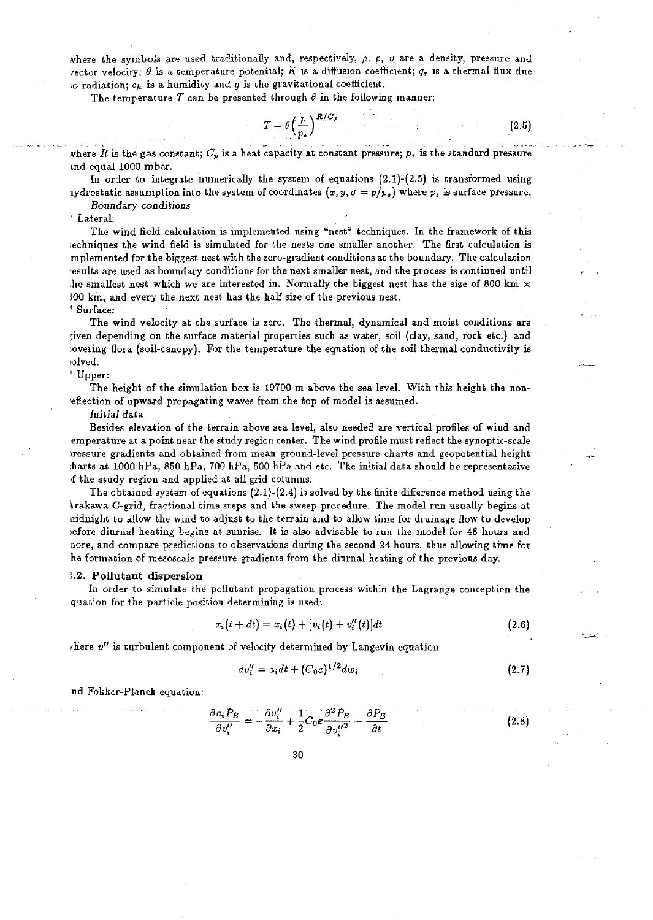where the symbols are used traditionally and, respectively,  $\rho$ ,  $p$ ,  $\overline{v}$  are a density, pressure and  ${\bf v}$ ector velocity;  $\theta$  is a temperature potential; K is a diffusion coefficient;  $q_r$  is a thermal flux due so radiation;  $c_h$  is a humidity and g is the gravitational coefficient.

The temperature  $T$  can be presented through  $\theta$  in the following manner:

$$
T = \theta \left(\frac{p}{p_*}\right)^{R/C_p} \tag{2.5}
$$

where *R* is the gas constant;  $C_p$  is a heat capacity at constant pressure;  $p_*$  is the standard pressure tnd equal 1000 mbar.

In order to integrate numerically the system of equations  $(2.1)-(2.5)$  is transformed using 1ydrostatic assumption into the system of coordinates  $(x, y, \sigma = p/p_s)$  where  $p_s$  is surface pressure.

*Boundary conditions* 

' Lateral:

The wind field calculation is implemented using "nest" techniques. In the framework of this ;echniques the wind field is simulated for the nests one smaller another. The first calculation is mplemented for the biggest nest with the zero-gradient conditions at the boundary. The calculation ·esults are used as boundary conditions for the next smaller nest, and the process is continued until he smallest nest which we are interested in. Normally the biggest nest has the size of 800 km  $\times$ 300 km, and every the next nest has the half size of the previous nest.

' Surface:

The wind velocity at the surface is zero. The thermal, dynamical and moist conditions are ~iven depending on the surface material properties such as water, soil {clay, sand, rock etc.) and :overing flora (soil-canopy). For the temperature the equation of the soil thermal conductivity is 1olved.

'Upper:

The height of the simulation box is 19700 m above the sea level. With this height the non- ·eflection of upward propagating waves from the top of model is assumed.

*Initial* data

Besides elevation of the terrain above sea level, also needed are vertical profiles of wind and em perature at a point near the study region center. The wind profile must refiect the synoptic-scale >ressure gradients and obtained from mean ground-level pressure charts and geopotential height harts at 1000 hPa, 850 hPa, 700 hPa, 500 hPa and etc. The initial data should be representative •f the study region and applied at all grid columns.

The obtained system of equations (2.1)-(2.4) is solved by the finite difference method using the ~rakawa C-grid, fractional time steps and the sweep procedure. The model run usually begins at nidnight to allow the wind to adjust to the terrain and to allow time for drainage flow to develop )efore diurnal heating begins at sunrise. It is also advisable to run the model for 48 hours and nore, and compare predictions to observations during the second 24 hours, thus allowing time for he formation of mesoscale pressure gradients from the diurnal heating of the previous day.

#### :.2. Pollutant dispersion

In order to simulate the pollutant propagation process within the Lagrange conception the quation for the particle position determining is used:

$$
x_i(t + dt) = x_i(t) + [v_i(t) + v_i''(t)]dt
$$
\n(2.6)

rhere *v11* is turbulent component of velocity determined by Langevin equation

$$
dv''_i = a_i dt + (C_0 \varepsilon)^{1/2} dw_i \tag{2.7}
$$

.nd Fokker-Planck equation:

$$
\frac{\partial a_i P_E}{\partial v_i''} = -\frac{\partial v_i''}{\partial x_i} + \frac{1}{2} C_0 \varepsilon \frac{\partial^2 P_E}{\partial v''^2} - \frac{\partial P_E}{\partial t}
$$
(2.8)

 $\mathcal{E}$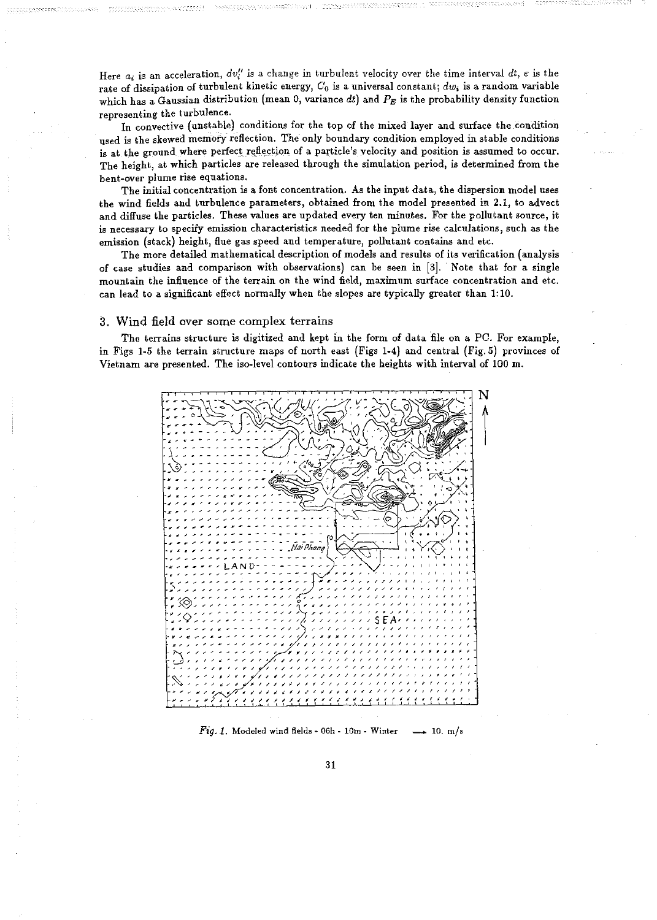Here  $a_i$  is an acceleration,  $dv_i''$  is a change in turbulent velocity over the time interval  $dt$ ,  $\epsilon$  is the rate of dissipation of turbulent kinetic energy, *Co* is a universal constant; *dwi* is a random variable which has a Gaussian distribution (mean 0, variance dt) and  $P_E$  is the probability density function representing the turbulence.

In convective (unstable) conditions for the top of the mixed layer and surface the condition used is the skewed memory reflection. The only boundary condition employed in stable conditions is at the ground where perfect reflection of a particle's velocity and position is assumed to occur. The height, at which particles are released through the simulation period, is determined from the bent~over plume rise equations.

The initial concentration is a font concentration. As the input data, the dispersion model uses the wind fields and turbulence parameters, obtained from the model presented in 2.1, to advect and diffuse the particles. These values are updated every ten minutes. For the pollutant source, jt is necessary to specify emission characteristics needea for the plume rise calculations, such as the emission (stack) height, flue gas speed and temperature, pollutant contains and etc.

The more detailed mathematical description of models and results of its verification (analysis of case studies and comparison with observations) can be seen in [3]. Note that for a single mountain the influence of the terrain on the wind field, maximum surface concentration and etc. can lead to a significant effect normally when the slopes are typically greater than 1:10.

## 3. Wind field over some complex terrains

The terrains structure is digitized and kept in the form of data file on a PC. For example, in Figs 1-5 the terrain structure maps of north east (Figs 1-4) and central (Fig. 5) provinces of Vietnam are presented. The iso-level contours indicate the heights with interval of 100 m.



Fig. 1. Modeled wind fields - 06h - 10m - Winter  $\longrightarrow$  10. m/s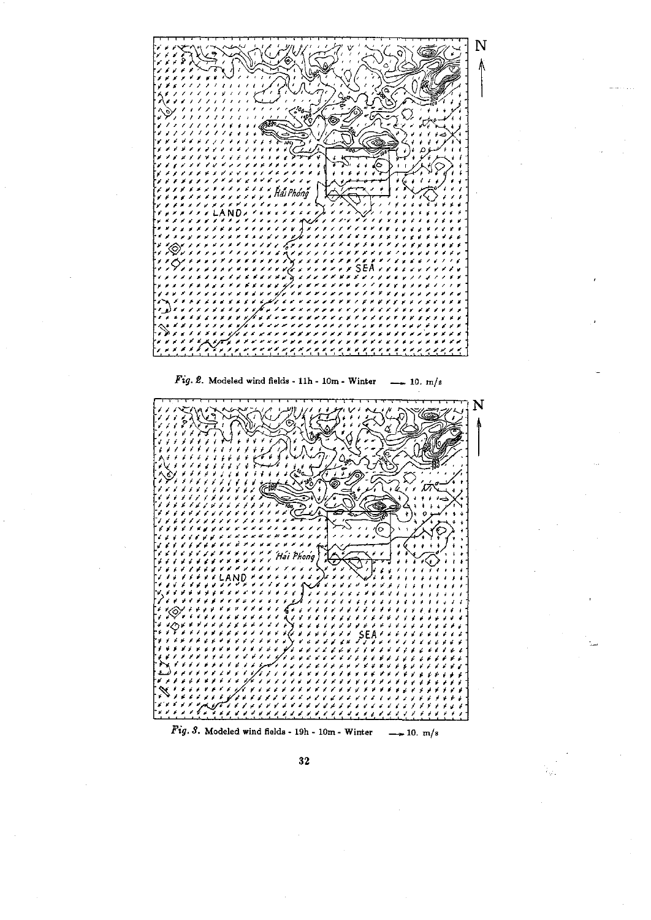

 $32\,$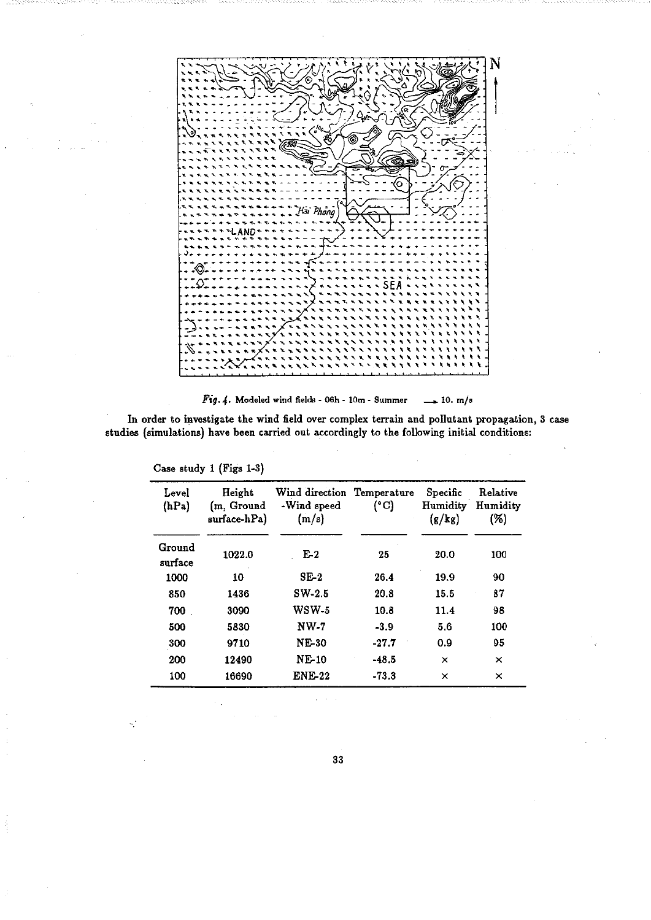N  $1.500$ Hài Phống សា

Fig. 4. Modeled wind fields - 06h - 10m - Summer  $\rightarrow$  10. m/s

In order to investigate the wind field over complex terrain and pollutant propagation, 3 case studies (simulations) have been carried out accordingly to the following initial conditions:

| Level<br>(hPa)    | Height<br>(m, Ground<br>surface-hPa) | Wind direction Temperature<br>-Wind speed<br>(m/s) | (°C)    | Specific<br>Humidity<br>(g/kg) | Relative<br>Humidity<br>(%) |
|-------------------|--------------------------------------|----------------------------------------------------|---------|--------------------------------|-----------------------------|
| Ground<br>surface | 1022.0                               | $E-2$                                              | 25      | 20.0                           | 100                         |
| 1000              | 10                                   | $SE-2$                                             | 26.4    | 19.9                           | 90                          |
| 850               | 1436                                 | $SW-2.5$                                           | 20.8    | 15.5                           | 87                          |
| 700               | 3090                                 | $WSW-5$                                            | 10.8    | 11.4                           | 98                          |
| 500               | 5830                                 | $NW-7$                                             | $-3.9$  | 5.6                            | 100                         |
| 300               | 9710                                 | <b>NE-30</b>                                       | $-27.7$ | 0.9                            | 95                          |
| 200               | 12490                                | <b>NE-10</b>                                       | $-48.5$ | ×                              | ×                           |
| 100               | 16690                                | <b>ENE-22</b>                                      | $-73.3$ | ×                              | ×                           |

Case study 1 (Figs 1-3)

33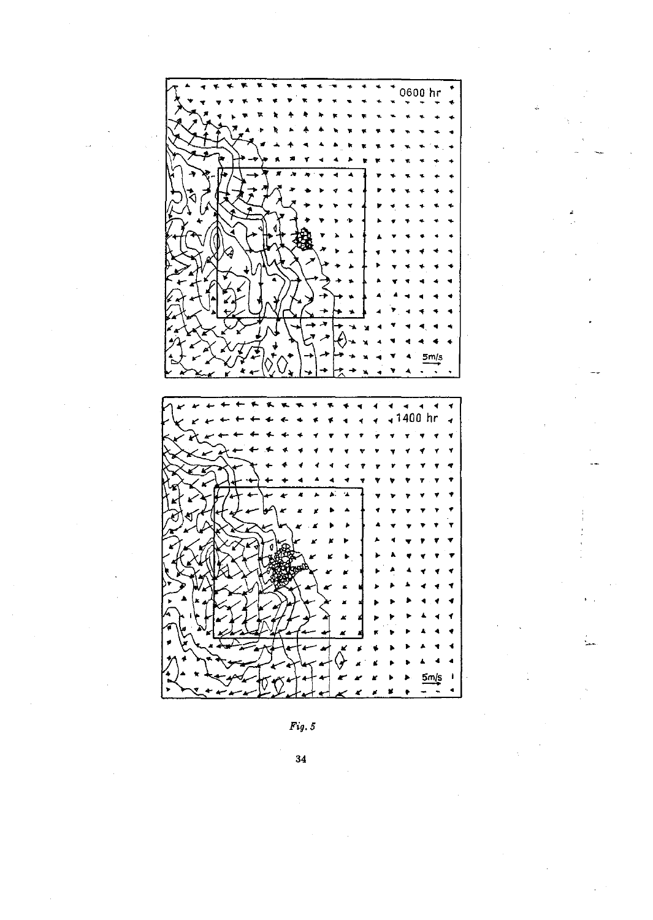

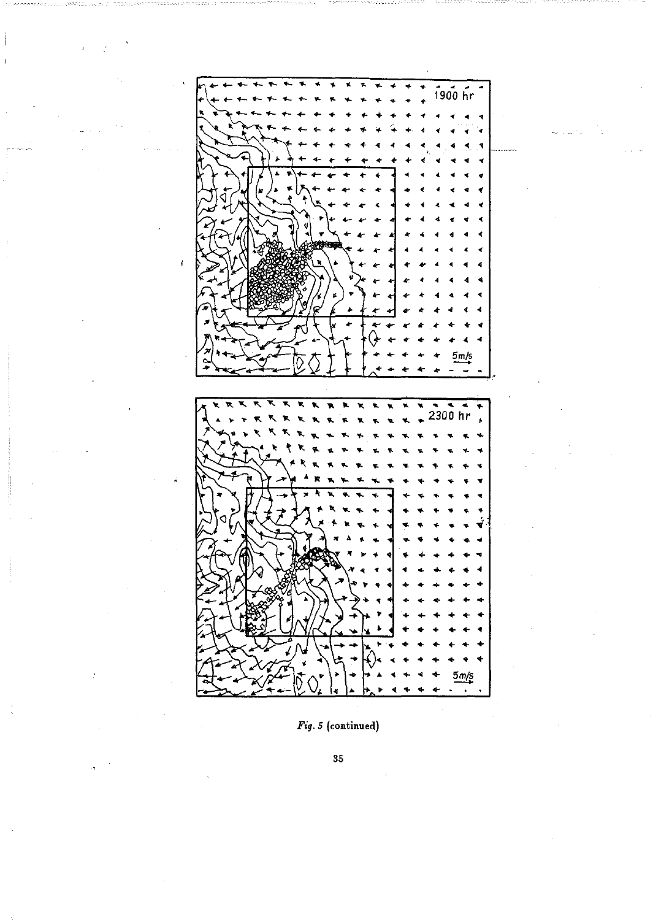

 $Fig. 5 (continued)$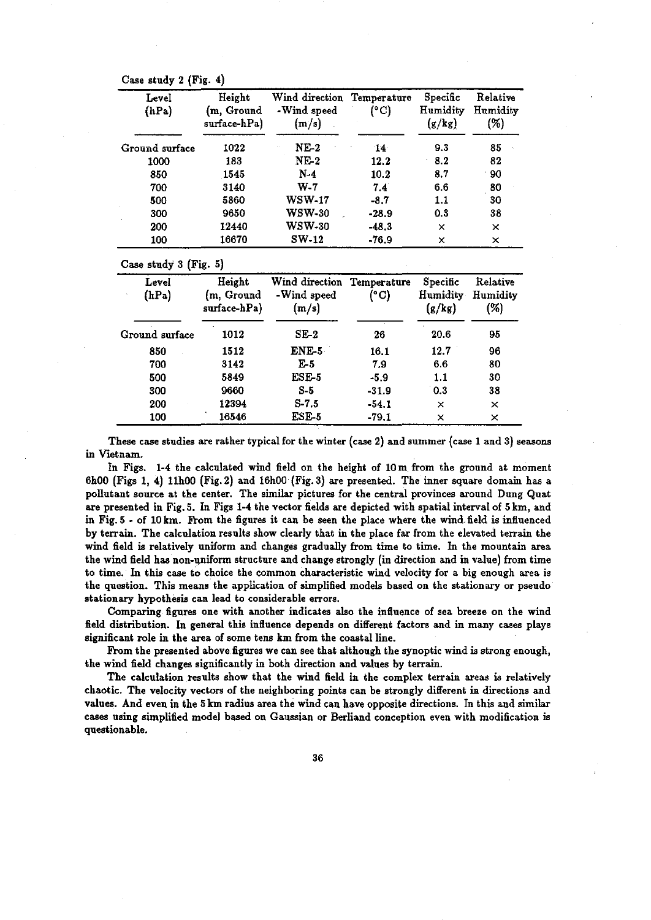Case study 2 (Fig. 4)

| Level<br>(hPa) | Height<br>(m, Ground<br>surface-hPa) | Wind direction<br>-Wind speed<br>(m/s) | Temperature<br>(°C) | Specific<br>Humidity<br>(g/kg) | Relative<br>Humidity<br>(%) |
|----------------|--------------------------------------|----------------------------------------|---------------------|--------------------------------|-----------------------------|
| Ground surface | 1022                                 | $NE-2$                                 | 14                  | 9.3                            | 85                          |
| 1000           | 183                                  | $NE-2$                                 | 12.2                | 8.2                            | 82                          |
| 850            | 1545                                 | $N-4$                                  | 10.2                | 8.7                            | 90                          |
| 700            | 3140                                 | $W-7$                                  | 7.4                 | 6.6                            | 80                          |
| 500            | 5860                                 | <b>WSW-17</b>                          | $-8.7$              | 1.1                            | 30                          |
| 300            | 9650                                 | <b>WSW-30</b>                          | $-28.9$             | 0.3                            | 38                          |
| 200            | 12440                                | <b>WSW-30</b>                          | $-48.3$             | x                              | ×                           |
| 100            | 16670                                | $SW-12$                                | $-76.9$             | ×                              | $\times$                    |

| Level<br>(hPa) | Height<br>(m, Ground<br>surface-hPa) | Wind direction Temperature<br>-Wind speed<br>(m/s) | (°C)    | Specific<br>Humidity<br>(g/kg) | Relative<br>Humidity<br>(%) |
|----------------|--------------------------------------|----------------------------------------------------|---------|--------------------------------|-----------------------------|
| Ground surface | 1012                                 | $SE-2$                                             | 26      | 20.6                           | 95                          |
| 850            | 1512                                 | ENE-5                                              | 16.1    | 12.7                           | 96                          |
| 700            | 3142                                 | $E-5$                                              | 7.9     | 6.6                            | 80                          |
| 500            | 5849                                 | ESE-5                                              | $-5.9$  | 1.1                            | 30                          |
| 300            | 9660                                 | $S-5$                                              | $-31.9$ | 0.3                            | 38                          |
| 200            | 12394                                | $S-7.5$                                            | $-54.1$ | ×                              | ×                           |
| 100            | 16546                                | ESE-5                                              | $-79.1$ | ×                              | ×                           |

These case studies are rather typical for the winter (case 2) and summer (case 1 and 3) seasons in Vietnam.

In Figs. 1-4 the calculated wind field on the height of 10m from the ground at moment 6h00 (Figs 1, 4) llhOO (Fig. 2) and 16h00 (Fig. 3) are presented. The inner square domain has a pollutant source at the center. The similar pictures for the central provinces around Dung Quat are presented in Fig. 5. In Figs 1-4 the vector fields are depicted with spatial interval of 5 km, and in Fig. 5 - of 10 km. From the figures it can be seen the place where the wind, field is influenced by terrain. The calculation results show clearly that in the place far from the elevated terrain the wind field is relatively uniform and changes gradually from time to time. In the mountain area the wind field has non-uniform structure and change strongly (in direction and in value) from time to time. In this case to choice the common characteristic wind velocity for a big enough area is the question. This means the application of simplified models based on the stationary or pseudo stationary hypothesis can lead to considerable errors.

Comparing figures one with another indicates also the influence of sea breeze on the wind field distribution. In general this influence depends on different factors and in many cases plays significant role in the area of some tens km from the coastal line.

From the presented above figures we can see that although the synoptic wind is strong enough, the wind field changes significantly in both direction and values by terrain.

The calculation results show that the wind field in the complex terrain areas is relatively chaotic. The velocity vectors of the neighboring points can be strongly different in directions and values. And even in the 5 km radius area the wind can have opposite directions. In this and similar cases using simplified model based on Gaussian or Berliand conception even with modification is questionable.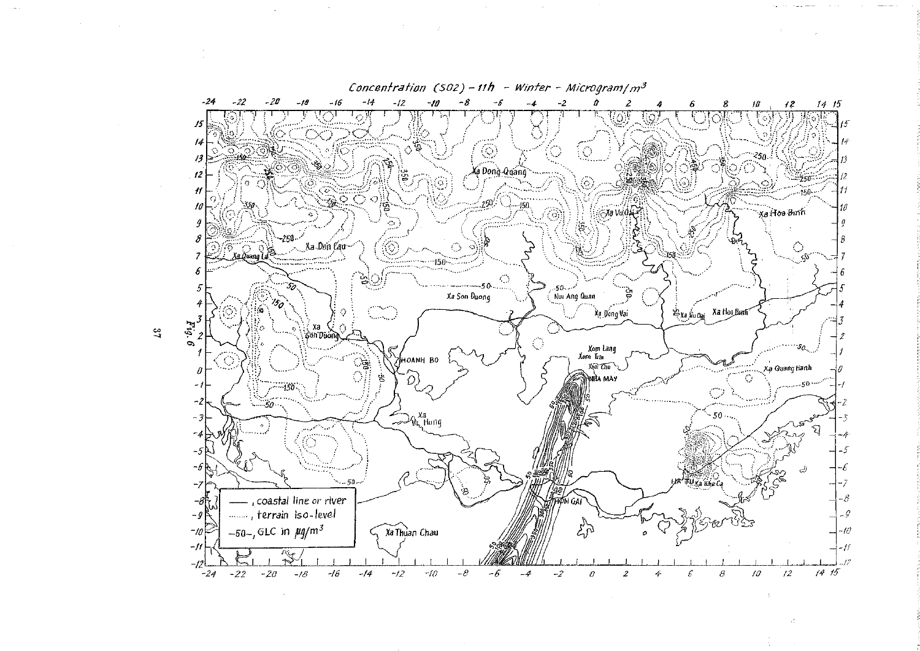

 $\sim$ 

 $\mathfrak{a}_1$